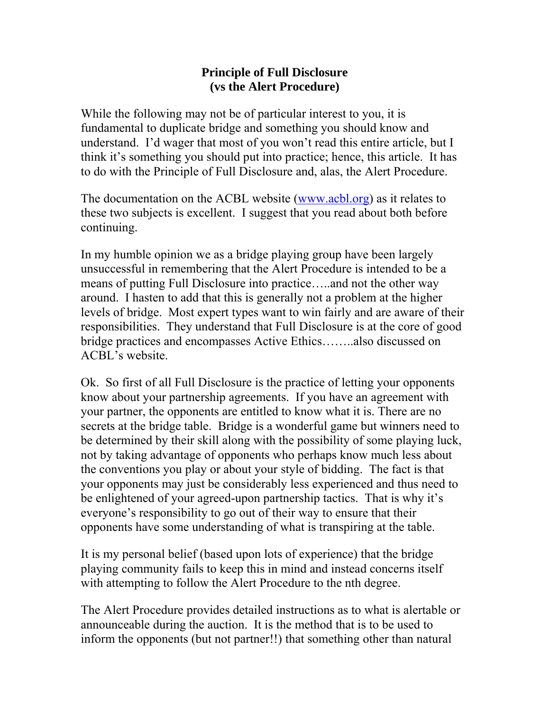## **Principle of Full Disclosure (vs the Alert Procedure)**

While the following may not be of particular interest to you, it is fundamental to duplicate bridge and something you should know and understand. I'd wager that most of you won't read this entire article, but I think it's something you should put into practice; hence, this article. It has to do with the Principle of Full Disclosure and, alas, the Alert Procedure.

The documentation on the ACBL website ([www.acbl.org](http://www.acbl.org/)) as it relates to these two subjects is excellent. I suggest that you read about both before continuing.

In my humble opinion we as a bridge playing group have been largely unsuccessful in remembering that the Alert Procedure is intended to be a means of putting Full Disclosure into practice…..and not the other way around. I hasten to add that this is generally not a problem at the higher levels of bridge. Most expert types want to win fairly and are aware of their responsibilities. They understand that Full Disclosure is at the core of good bridge practices and encompasses Active Ethics……..also discussed on ACBL's website.

Ok. So first of all Full Disclosure is the practice of letting your opponents know about your partnership agreements. If you have an agreement with your partner, the opponents are entitled to know what it is. There are no secrets at the bridge table. Bridge is a wonderful game but winners need to be determined by their skill along with the possibility of some playing luck, not by taking advantage of opponents who perhaps know much less about the conventions you play or about your style of bidding. The fact is that your opponents may just be considerably less experienced and thus need to be enlightened of your agreed-upon partnership tactics. That is why it's everyone's responsibility to go out of their way to ensure that their opponents have some understanding of what is transpiring at the table.

It is my personal belief (based upon lots of experience) that the bridge playing community fails to keep this in mind and instead concerns itself with attempting to follow the Alert Procedure to the nth degree.

The Alert Procedure provides detailed instructions as to what is alertable or announceable during the auction. It is the method that is to be used to inform the opponents (but not partner!!) that something other than natural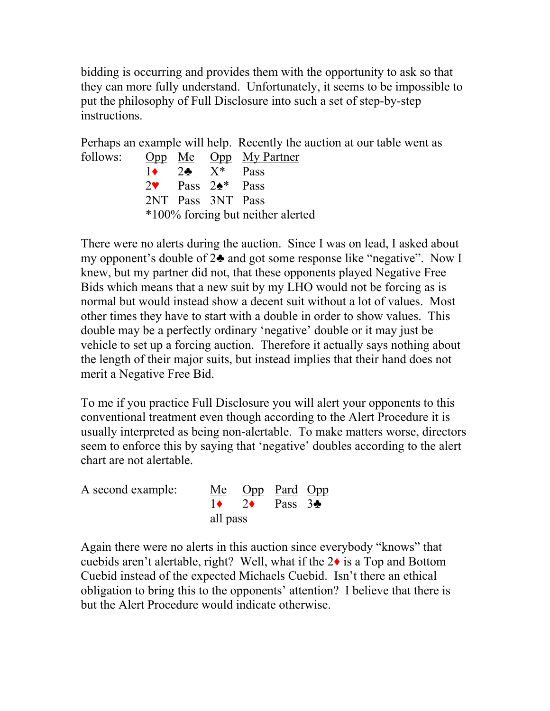bidding is occurring and provides them with the opportunity to ask so that they can more fully understand. Unfortunately, it seems to be impossible to put the philosophy of Full Disclosure into such a set of step-by-step instructions.

Perhaps an example will help. Recently the auction at our table went as follows: Opp Me Opp My Partner  $1\bullet$  2 $\bullet$  X<sup>\*</sup> Pass 2♥ Pass 2♠\* Pass 2NT Pass 3NT Pass \*100% forcing but neither alerted

There were no alerts during the auction. Since I was on lead, I asked about my opponent's double of 2♣ and got some response like "negative". Now I knew, but my partner did not, that these opponents played Negative Free Bids which means that a new suit by my LHO would not be forcing as is normal but would instead show a decent suit without a lot of values. Most other times they have to start with a double in order to show values. This double may be a perfectly ordinary 'negative' double or it may just be vehicle to set up a forcing auction. Therefore it actually says nothing about the length of their major suits, but instead implies that their hand does not merit a Negative Free Bid.

To me if you practice Full Disclosure you will alert your opponents to this conventional treatment even though according to the Alert Procedure it is usually interpreted as being non-alertable. To make matters worse, directors seem to enforce this by saying that 'negative' doubles according to the alert chart are not alertable.

| A second example: |          | Me Opp Pard Opp                         |  |  |
|-------------------|----------|-----------------------------------------|--|--|
|                   |          | $1\bullet$ 2 $\bullet$ Pass 3 $\bullet$ |  |  |
|                   | all pass |                                         |  |  |

Again there were no alerts in this auction since everybody "knows" that cuebids aren't alertable, right? Well, what if the 2♦ is a Top and Bottom Cuebid instead of the expected Michaels Cuebid. Isn't there an ethical obligation to bring this to the opponents' attention? I believe that there is but the Alert Procedure would indicate otherwise.